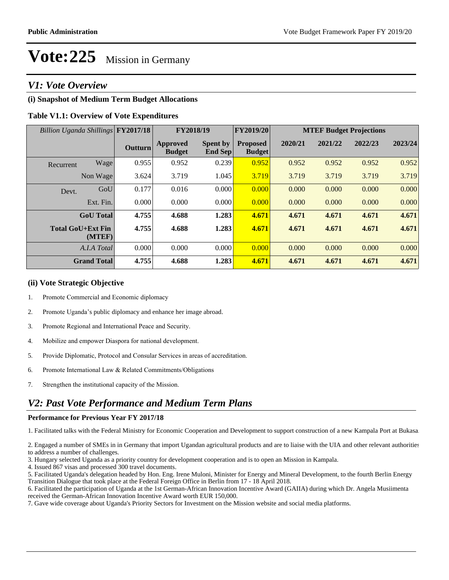### *V1: Vote Overview*

#### **(i) Snapshot of Medium Term Budget Allocations**

#### **Table V1.1: Overview of Vote Expenditures**

| Billion Uganda Shillings FY2017/18 |                  |                | FY2018/19                        |                            | FY2019/20                        | <b>MTEF Budget Projections</b> |         |         |         |  |
|------------------------------------|------------------|----------------|----------------------------------|----------------------------|----------------------------------|--------------------------------|---------|---------|---------|--|
|                                    |                  | <b>Outturn</b> | <b>Approved</b><br><b>Budget</b> | <b>Spent by</b><br>End Sep | <b>Proposed</b><br><b>Budget</b> | 2020/21                        | 2021/22 | 2022/23 | 2023/24 |  |
| Recurrent                          | Wage             | 0.955          | 0.952                            | 0.239                      | 0.952                            | 0.952                          | 0.952   | 0.952   | 0.952   |  |
|                                    | Non Wage         | 3.624          | 3.719                            | 1.045                      | 3.719                            | 3.719                          | 3.719   | 3.719   | 3.719   |  |
| Devt.                              | GoU              | 0.177          | 0.016                            | 0.000                      | 0.000                            | 0.000                          | 0.000   | 0.000   | 0.000   |  |
|                                    | Ext. Fin.        | 0.000          | 0.000                            | 0.000                      | 0.000                            | 0.000                          | 0.000   | 0.000   | 0.000   |  |
|                                    | <b>GoU</b> Total | 4.755          | 4.688                            | 1.283                      | 4.671                            | 4.671                          | 4.671   | 4.671   | 4.671   |  |
| <b>Total GoU+Ext Fin</b>           | (MTEF)           | 4.755          | 4.688                            | 1.283                      | 4.671                            | 4.671                          | 4.671   | 4.671   | 4.671   |  |
|                                    | A.I.A Total      | 0.000          | 0.000                            | 0.000                      | 0.000                            | 0.000                          | 0.000   | 0.000   | 0.000   |  |
| <b>Grand Total</b>                 |                  | 4.755          | 4.688                            | 1.283                      | 4.671                            | 4.671                          | 4.671   | 4.671   | 4.671   |  |

#### **(ii) Vote Strategic Objective**

- 1. Promote Commercial and Economic diplomacy
- 2. Promote Uganda's public diplomacy and enhance her image abroad.
- 3. Promote Regional and International Peace and Security.
- 4. Mobilize and empower Diaspora for national development.
- 5. Provide Diplomatic, Protocol and Consular Services in areas of accreditation.
- 6. Promote International Law & Related Commitments/Obligations
- 7. Strengthen the institutional capacity of the Mission.

### *V2: Past Vote Performance and Medium Term Plans*

#### **Performance for Previous Year FY 2017/18**

1. Facilitated talks with the Federal Ministry for Economic Cooperation and Development to support construction of a new Kampala Port at Bukasa.

2. Engaged a number of SMEs in in Germany that import Ugandan agricultural products and are to liaise with the UIA and other relevant authorities to address a number of challenges.

3. Hungary selected Uganda as a priority country for development cooperation and is to open an Mission in Kampala.

4. Issued 867 visas and processed 300 travel documents.

5. Facilitated Uganda's delegation headed by Hon. Eng. Irene Muloni, Minister for Energy and Mineral Development, to the fourth Berlin Energy Transition Dialogue that took place at the Federal Foreign Office in Berlin from 17 - 18 April 2018.

6. Facilitated the participation of Uganda at the 1st German-African Innovation Incentive Award (GAIIA) during which Dr. Angela Musiimenta received the German-African Innovation Incentive Award worth EUR 150,000.

7. Gave wide coverage about Uganda's Priority Sectors for Investment on the Mission website and social media platforms.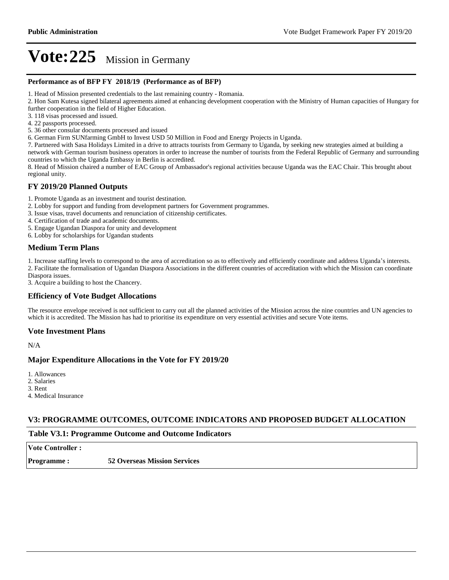#### **Performance as of BFP FY 2018/19 (Performance as of BFP)**

1. Head of Mission presented credentials to the last remaining country - Romania.

2. Hon Sam Kutesa signed bilateral agreements aimed at enhancing development cooperation with the Ministry of Human capacities of Hungary for further cooperation in the field of Higher Education.

- 3. 118 visas processed and issued.
- 4. 22 passports processed.

5. 36 other consular documents processed and issued

6. German Firm SUNfarming GmbH to Invest USD 50 Million in Food and Energy Projects in Uganda.

7. Partnered with Sasa Holidays Limited in a drive to attracts tourists from Germany to Uganda, by seeking new strategies aimed at building a network with German tourism business operators in order to increase the number of tourists from the Federal Republic of Germany and surrounding countries to which the Uganda Embassy in Berlin is accredited.

8. Head of Mission chaired a number of EAC Group of Ambassador's regional activities because Uganda was the EAC Chair. This brought about regional unity.

#### **FY 2019/20 Planned Outputs**

1. Promote Uganda as an investment and tourist destination.

- 2. Lobby for support and funding from development partners for Government programmes.
- 3. Issue visas, travel documents and renunciation of citizenship certificates.
- 4. Certification of trade and academic documents.

5. Engage Ugandan Diaspora for unity and development

6. Lobby for scholarships for Ugandan students

#### **Medium Term Plans**

1. Increase staffing levels to correspond to the area of accreditation so as to effectively and efficiently coordinate and address Uganda's interests. 2. Facilitate the formalisation of Ugandan Diaspora Associations in the different countries of accreditation with which the Mission can coordinate

Diaspora issues. 3. Acquire a building to host the Chancery.

#### **Efficiency of Vote Budget Allocations**

The resource envelope received is not sufficient to carry out all the planned activities of the Mission across the nine countries and UN agencies to which it is accredited. The Mission has had to prioritise its expenditure on very essential activities and secure Vote items.

#### **Vote Investment Plans**

N/A

#### **Major Expenditure Allocations in the Vote for FY 2019/20**

1. Allowances

2. Salaries

3. Rent

4. Medical Insurance

#### **V3: PROGRAMME OUTCOMES, OUTCOME INDICATORS AND PROPOSED BUDGET ALLOCATION**

#### **Table V3.1: Programme Outcome and Outcome Indicators**

**Vote Controller : Programme : 52 Overseas Mission Services**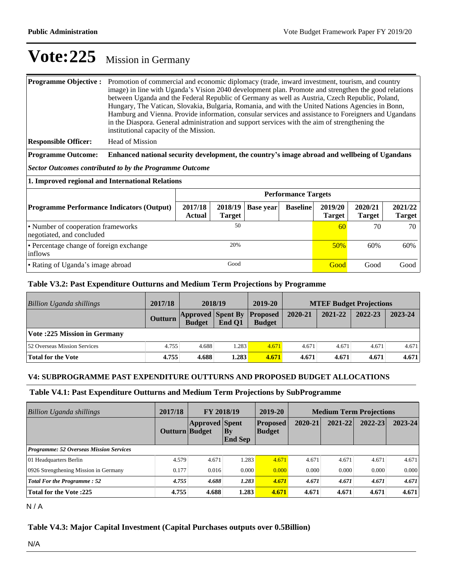#### **Programme Objective :** Promotion of commercial and economic diplomacy (trade, inward investment, tourism, and country image) in line with Uganda's Vision 2040 development plan. Promote and strengthen the good relations between Uganda and the Federal Republic of Germany as well as Austria, Czech Republic, Poland, Hungary, The Vatican, Slovakia, Bulgaria, Romania, and with the United Nations Agencies in Bonn, Hamburg and Vienna. Provide information, consular services and assistance to Foreigners and Ugandans in the Diaspora. General administration and support services with the aim of strengthening the institutional capacity of the Mission.

**Responsible Officer:** Head of Mission

**Programme Outcome:** Enhanced national security development, the country's image abroad and wellbeing of Ugandans

*Sector Outcomes contributed to by the Programme Outcome*

**1. Improved regional and International Relations** 

|                                                                 | <b>Performance Targets</b> |               |                     |                 |                          |                          |                          |  |  |
|-----------------------------------------------------------------|----------------------------|---------------|---------------------|-----------------|--------------------------|--------------------------|--------------------------|--|--|
| <b>Programme Performance Indicators (Output)</b>                | 2017/18<br><b>Actual</b>   | <b>Target</b> | $2018/19$ Base year | <b>Baseline</b> | 2019/20<br><b>Target</b> | 2020/21<br><b>Target</b> | 2021/22<br><b>Target</b> |  |  |
| • Number of cooperation frameworks<br>negotiated, and concluded |                            | 50            |                     |                 | 60                       | 70                       | 70                       |  |  |
| • Percentage change of foreign exchange<br>inflows              |                            | 20%           |                     |                 | 50%                      | 60%                      | 60%                      |  |  |
| • Rating of Uganda's image abroad                               |                            | Good          |                     |                 | Good                     | Good                     | Good                     |  |  |

#### **Table V3.2: Past Expenditure Outturns and Medium Term Projections by Programme**

| Billion Uganda shillings           | 2017/18        | 2018/19                                   |        | 2019-20                          | <b>MTEF Budget Projections</b> |         |         |         |
|------------------------------------|----------------|-------------------------------------------|--------|----------------------------------|--------------------------------|---------|---------|---------|
|                                    | <b>Outturn</b> | <b>Approved Spent By</b><br><b>Budget</b> | End O1 | <b>Proposed</b><br><b>Budget</b> | 2020-21                        | 2021-22 | 2022-23 | 2023-24 |
| <b>Vote:225 Mission in Germany</b> |                |                                           |        |                                  |                                |         |         |         |
| 52 Overseas Mission Services       | 4.755          | 4.688                                     | 1.283  | 4.671                            | 4.671                          | 4.671   | 4.671   | 4.671   |
| Total for the Vote                 | 4.755          | 4.688                                     | 1.283  | 4.671                            | 4.671                          | 4.671   | 4.671   | 4.671   |

#### **V4: SUBPROGRAMME PAST EXPENDITURE OUTTURNS AND PROPOSED BUDGET ALLOCATIONS**

#### **Table V4.1: Past Expenditure Outturns and Medium Term Projections by SubProgramme**

| Billion Uganda shillings                       | 2017/18<br>FY 2018/19 |                       | 2019-20                                  | <b>Medium Term Projections</b>   |         |         |             |             |
|------------------------------------------------|-----------------------|-----------------------|------------------------------------------|----------------------------------|---------|---------|-------------|-------------|
|                                                | <b>Outturn Budget</b> | <b>Approved Spent</b> | $\mathbf{B}\mathbf{y}$<br><b>End Sep</b> | <b>Proposed</b><br><b>Budget</b> | 2020-21 | 2021-22 | $2022 - 23$ | $2023 - 24$ |
| <b>Programme: 52 Overseas Mission Services</b> |                       |                       |                                          |                                  |         |         |             |             |
| 01 Headquarters Berlin                         | 4.579                 | 4.671                 | 1.283                                    | 4.671                            | 4.671   | 4.671   | 4.671       | 4.671       |
| 0926 Strengthening Mission in Germany          | 0.177                 | 0.016                 | 0.000                                    | 0.000                            | 0.000   | 0.000   | 0.000       | 0.000       |
| <b>Total For the Programme: 52</b>             | 4.755                 | 4.688                 | 1.283                                    | 4.671                            | 4.671   | 4.671   | 4.671       | 4.671       |
| <b>Total for the Vote:225</b>                  | 4.755                 | 4.688                 | 1.283                                    | 4.671                            | 4.671   | 4.671   | 4.671       | 4.671       |

N / A

#### **Table V4.3: Major Capital Investment (Capital Purchases outputs over 0.5Billion)**